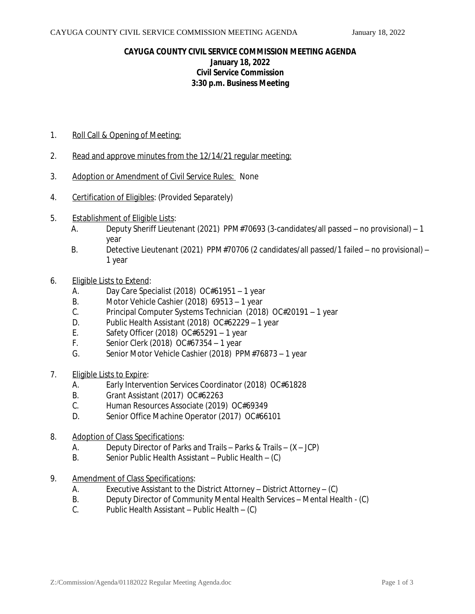## **CAYUGA COUNTY CIVIL SERVICE COMMISSION MEETING AGENDA January 18, 2022 Civil Service Commission 3:30 p.m. Business Meeting**

- 1. Roll Call & Opening of Meeting:
- 2. Read and approve minutes from the 12/14/21 regular meeting:
- 3. Adoption or Amendment of Civil Service Rules: None
- 4. Certification of Eligibles: (Provided Separately)
- 5. Establishment of Eligible Lists:
	- A. Deputy Sheriff Lieutenant (2021) PPM#70693 (3-candidates/all passed no provisional) 1 year
	- B. Detective Lieutenant (2021) PPM#70706 (2 candidates/all passed/1 failed no provisional) 1 year
- 6. Eligible Lists to Extend:
	- A. Day Care Specialist (2018) OC#61951 1 year
	- B. Motor Vehicle Cashier (2018) 69513 1 year
	- C. Principal Computer Systems Technician (2018) OC#20191 1 year
	- D. Public Health Assistant (2018) OC#62229 1 year
	- E. Safety Officer (2018) OC#65291 1 year
	- F. Senior Clerk (2018) OC#67354 1 year
	- G. Senior Motor Vehicle Cashier (2018) PPM#76873 1 year
- 7. Eligible Lists to Expire:
	- A. Early Intervention Services Coordinator (2018) OC#61828
	- B. Grant Assistant (2017) OC#62263<br>C. Human Resources Associate (2019
	- Human Resources Associate (2019) OC#69349
	- D. Senior Office Machine Operator (2017) OC#66101
- 8. Adoption of Class Specifications:
	- A. Deputy Director of Parks and Trails Parks & Trails (X JCP)
	- B. Senior Public Health Assistant Public Health (C)
- 9. Amendment of Class Specifications:
	- A. Executive Assistant to the District Attorney District Attorney (C)
	- B. Deputy Director of Community Mental Health Services Mental Health (C)
	- C. Public Health Assistant Public Health (C)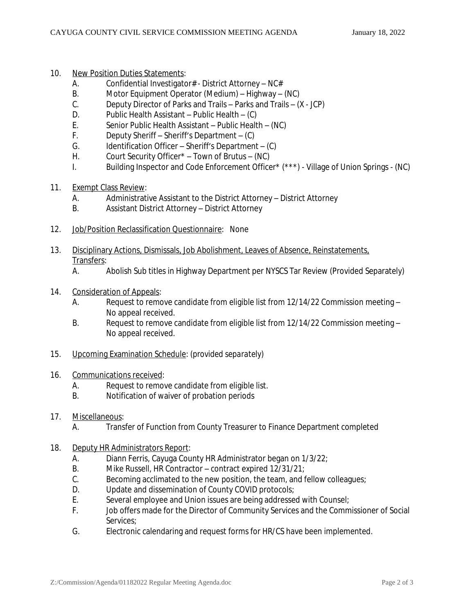- 10. New Position Duties Statements:
	- A. Confidential Investigator# District Attorney NC#
	- B. Motor Equipment Operator (Medium) Highway (NC)
	- C. Deputy Director of Parks and Trails Parks and Trails (X JCP)
	- D. Public Health Assistant Public Health (C)
	- E. Senior Public Health Assistant Public Health (NC)
	- F. Deputy Sheriff Sheriff's Department (C)
	- G. Identification Officer Sheriff's Department (C)<br>H. Court Security Officer\* Town of Brutus (NC)
	- Court Security Officer $*$  Town of Brutus (NC)
	- I. Building Inspector and Code Enforcement Officer\* (\*\*\*) Village of Union Springs (NC)
- 11. Exempt Class Review:
	- A. Administrative Assistant to the District Attorney District Attorney
	- B. Assistant District Attorney District Attorney
- 12. Job/Position Reclassification Questionnaire: None
- 13. Disciplinary Actions, Dismissals, Job Abolishment, Leaves of Absence, Reinstatements, Transfers:
	- A. Abolish Sub titles in Highway Department per NYSCS Tar Review (Provided Separately)
- 14. Consideration of Appeals:
	- A. Request to remove candidate from eligible list from 12/14/22 Commission meeting No appeal received.
	- B. Request to remove candidate from eligible list from 12/14/22 Commission meeting -No appeal received.
- 15. Upcoming Examination Schedule: (*provided separately*)
- 16. Communications received:
	- A. Request to remove candidate from eligible list.
	- B. Notification of waiver of probation periods
- 17. Miscellaneous:

A. Transfer of Function from County Treasurer to Finance Department completed

- 18. Deputy HR Administrators Report:
	- A. Diann Ferris, Cayuga County HR Administrator began on 1/3/22;
	- B. Mike Russell, HR Contractor contract expired 12/31/21;<br>C. Becoming acclimated to the new position, the team, and f
	- Becoming acclimated to the new position, the team, and fellow colleagues;
	- D. Update and dissemination of County COVID protocols;
	- E. Several employee and Union issues are being addressed with Counsel;
	- F. Job offers made for the Director of Community Services and the Commissioner of Social Services;
	- G. Electronic calendaring and request forms for HR/CS have been implemented.